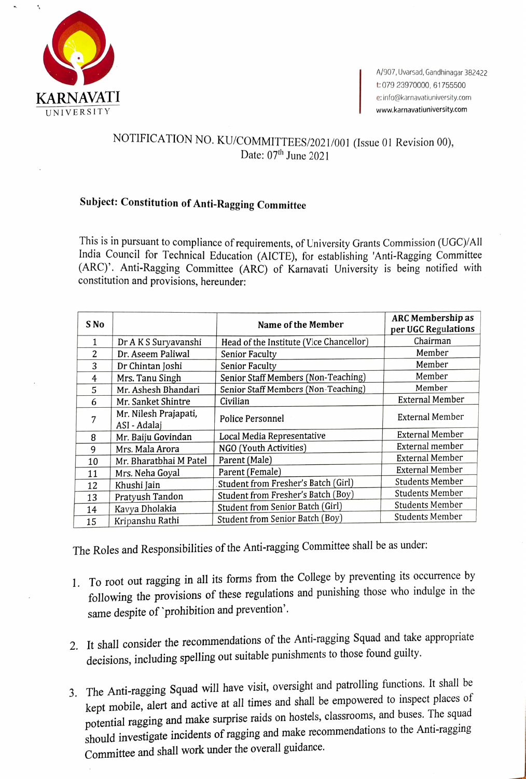

## NOTIFICATION NO. KU/COMMITTEES/2021/001 (Issue 01 Revision 00), Date:  $07<sup>th</sup>$  June 2021

## Subject: Constitution of Anti-Ragging Committee

This is in pursuant to compliance of requirements, of University Grants Commission (UGC)/All India Council for Technical Education (AICTE), for establishing 'Anti-Ragging Committee (ARC). Anti-Ragging Committee (ARC) of Karnavati University is being notified with constitution and provisions, hereunder:

| S No |                                       | Name of the Member                      | <b>ARC Membership as</b><br>per UGC Regulations |
|------|---------------------------------------|-----------------------------------------|-------------------------------------------------|
| 1    | Dr A K S Suryavanshi                  | Head of the Institute (Vice Chancellor) | Chairman                                        |
| 2    | Dr. Aseem Paliwal                     | <b>Senior Faculty</b>                   | Member                                          |
| 3    | Dr Chintan Joshi                      | <b>Senior Faculty</b>                   | Member                                          |
| 4    | Mrs. Tanu Singh                       | Senior Staff Members (Non-Teaching)     | Member                                          |
| 5    | Mr. Ashesh Bhandari                   | Senior Staff Members (Non-Teaching)     | Member                                          |
| 6    | Mr. Sanket Shintre                    | Civilian                                | <b>External Member</b>                          |
| 7    | Mr. Nilesh Prajapati,<br>ASI - Adalaj | Police Personnel                        | <b>External Member</b>                          |
| 8    | Mr. Baiju Govindan                    | Local Media Representative              | <b>External Member</b>                          |
| 9    | Mrs. Mala Arora                       | NGO (Youth Activities)                  | External member                                 |
| 10   | Mr. Bharatbhai M Patel                | Parent (Male)                           | <b>External Member</b>                          |
| 11   | Mrs. Neha Goyal                       | Parent (Female)                         | <b>External Member</b>                          |
| 12   | Khushi Jain                           | Student from Fresher's Batch (Girl)     | <b>Students Member</b>                          |
| 13   | Pratyush Tandon                       | Student from Fresher's Batch (Boy)      | <b>Students Member</b>                          |
| 14   | Kavya Dholakia                        | Student from Senior Batch (Girl)        | <b>Students Member</b>                          |
| 15   | Kripanshu Rathi                       | Student from Senior Batch (Boy)         | <b>Students Member</b>                          |

The Roles and Responsibilities of the Anti-ragging Committee shall be as under:

- 1. To root out ragging in all its forms from the College by preventing its occurrence by following the provisions of these regulations and punishing those who indulge in the same despite of 'prohibition and prevention'.
- 2. It shall consider the recommendations of the Anti-ragging Squad and take appropriate decisions, including spelling out suitable punishments to those found guilty.
- 3. The Anti-ragging Squad will have visit, oversight and patrolling functions. It shall be kept mobile, alert and active at all times and shall be empowered to inspect places of potential ragging and make surprise raids on hostels, classrooms, and buses. The squad should investigate incidents of ragging and make recommendations to the Anti-ragging Committee and shall work under the overall guidance.